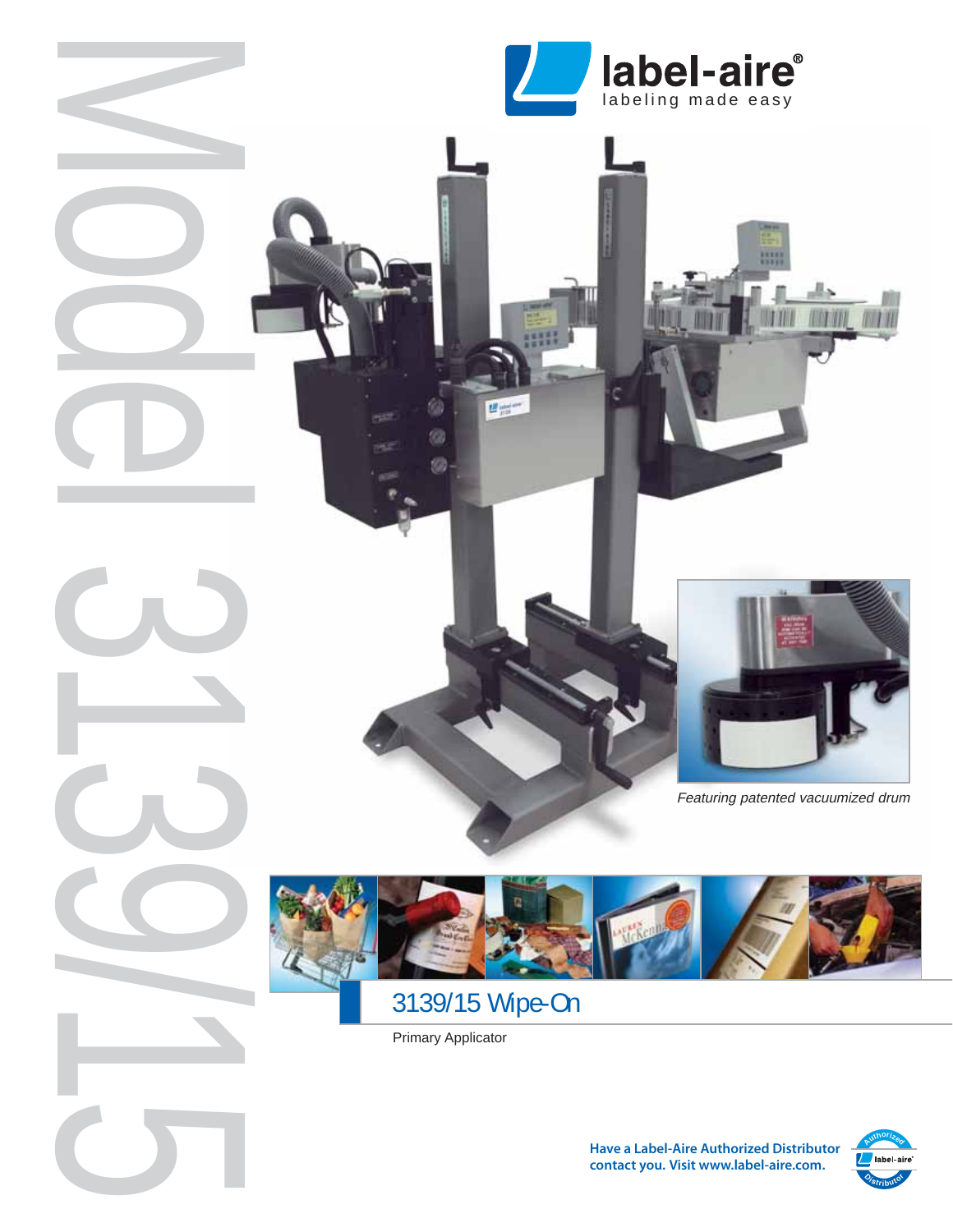



li s

Featuring patented vacuumized drum



# 3139/15 Wipe-On

Primary Applicator

Model 3139/15



**Have a Label-Aire Authorized Distributor contact you. Visit www.label-aire.com.**